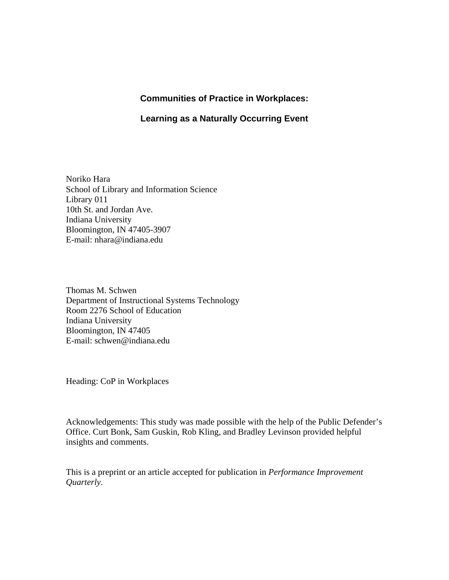# **Communities of Practice in Workplaces:**

# **Learning as a Naturally Occurring Event**

Noriko Hara School of Library and Information Science Library 011 10th St. and Jordan Ave. Indiana University Bloomington, IN 47405-3907 E-mail: nhara@indiana.edu

Thomas M. Schwen Department of Instructional Systems Technology Room 2276 School of Education Indiana University Bloomington, IN 47405 E-mail: schwen@indiana.edu

Heading: CoP in Workplaces

Acknowledgements: This study was made possible with the help of the Public Defender's Office. Curt Bonk, Sam Guskin, Rob Kling, and Bradley Levinson provided helpful insights and comments.

This is a preprint or an article accepted for publication in *Performance Improvement Quarterly*.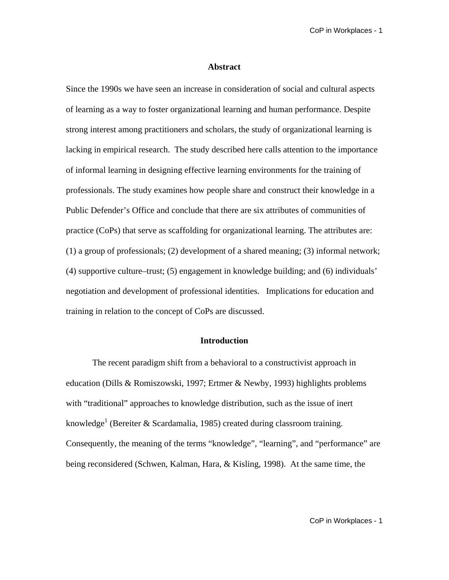### **Abstract**

Since the 1990s we have seen an increase in consideration of social and cultural aspects of learning as a way to foster organizational learning and human performance. Despite strong interest among practitioners and scholars, the study of organizational learning is lacking in empirical research. The study described here calls attention to the importance of informal learning in designing effective learning environments for the training of professionals. The study examines how people share and construct their knowledge in a Public Defender's Office and conclude that there are six attributes of communities of practice (CoPs) that serve as scaffolding for organizational learning. The attributes are: (1) a group of professionals; (2) development of a shared meaning; (3) informal network; (4) supportive culture–trust; (5) engagement in knowledge building; and (6) individuals' negotiation and development of professional identities. Implications for education and training in relation to the concept of CoPs are discussed.

## **Introduction**

The recent paradigm shift from a behavioral to a constructivist approach in education (Dills & Romiszowski, 1997; Ertmer & Newby, 1993) highlights problems with "traditional" approaches to knowledge distribution, such as the issue of inert knowledge<sup>1</sup> (Bereiter & Scardamalia, 1985) created during classroom training. Consequently, the meaning of the terms "knowledge", "learning", and "performance" are being reconsidered (Schwen, Kalman, Hara, & Kisling, 1998). At the same time, the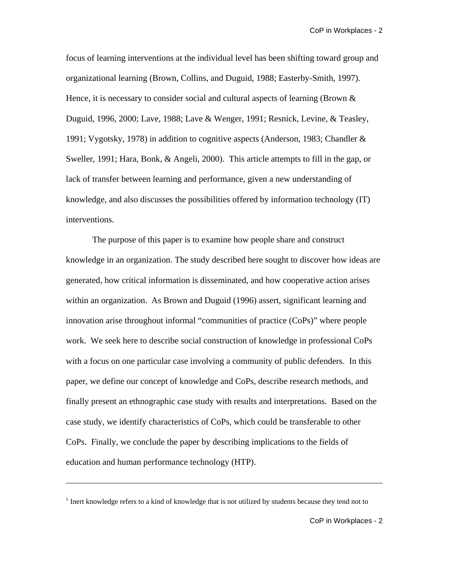focus of learning interventions at the individual level has been shifting toward group and organizational learning (Brown, Collins, and Duguid, 1988; Easterby-Smith, 1997). Hence, it is necessary to consider social and cultural aspects of learning (Brown  $\&$ Duguid, 1996, 2000; Lave, 1988; Lave & Wenger, 1991; Resnick, Levine, & Teasley, 1991; Vygotsky, 1978) in addition to cognitive aspects (Anderson, 1983; Chandler & Sweller, 1991; Hara, Bonk, & Angeli, 2000). This article attempts to fill in the gap, or lack of transfer between learning and performance, given a new understanding of knowledge, and also discusses the possibilities offered by information technology (IT) interventions.

The purpose of this paper is to examine how people share and construct knowledge in an organization. The study described here sought to discover how ideas are generated, how critical information is disseminated, and how cooperative action arises within an organization. As Brown and Duguid (1996) assert, significant learning and innovation arise throughout informal "communities of practice (CoPs)" where people work. We seek here to describe social construction of knowledge in professional CoPs with a focus on one particular case involving a community of public defenders. In this paper, we define our concept of knowledge and CoPs, describe research methods, and finally present an ethnographic case study with results and interpretations. Based on the case study, we identify characteristics of CoPs, which could be transferable to other CoPs. Finally, we conclude the paper by describing implications to the fields of education and human performance technology (HTP).

 $\overline{a}$ 

 $1$  Inert knowledge refers to a kind of knowledge that is not utilized by students because they tend not to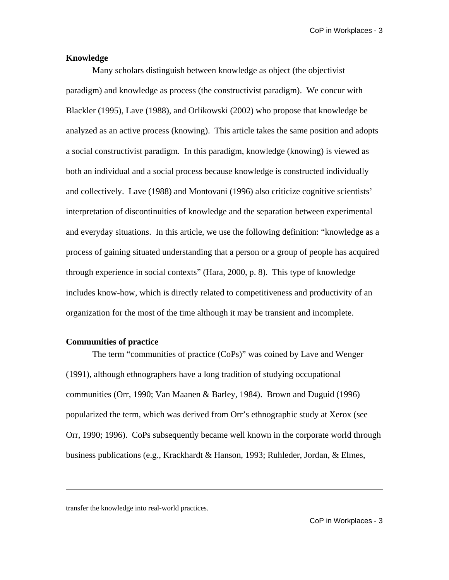## **Knowledge**

Many scholars distinguish between knowledge as object (the objectivist paradigm) and knowledge as process (the constructivist paradigm). We concur with Blackler (1995), Lave (1988), and Orlikowski (2002) who propose that knowledge be analyzed as an active process (knowing). This article takes the same position and adopts a social constructivist paradigm. In this paradigm, knowledge (knowing) is viewed as both an individual and a social process because knowledge is constructed individually and collectively. Lave (1988) and Montovani (1996) also criticize cognitive scientists' interpretation of discontinuities of knowledge and the separation between experimental and everyday situations. In this article, we use the following definition: "knowledge as a process of gaining situated understanding that a person or a group of people has acquired through experience in social contexts" (Hara, 2000, p. 8). This type of knowledge includes know-how, which is directly related to competitiveness and productivity of an organization for the most of the time although it may be transient and incomplete.

## **Communities of practice**

The term "communities of practice (CoPs)" was coined by Lave and Wenger (1991), although ethnographers have a long tradition of studying occupational communities (Orr, 1990; Van Maanen & Barley, 1984). Brown and Duguid (1996) popularized the term, which was derived from Orr's ethnographic study at Xerox (see Orr, 1990; 1996). CoPs subsequently became well known in the corporate world through business publications (e.g., Krackhardt & Hanson, 1993; Ruhleder, Jordan, & Elmes,

transfer the knowledge into real-world practices.

<u>.</u>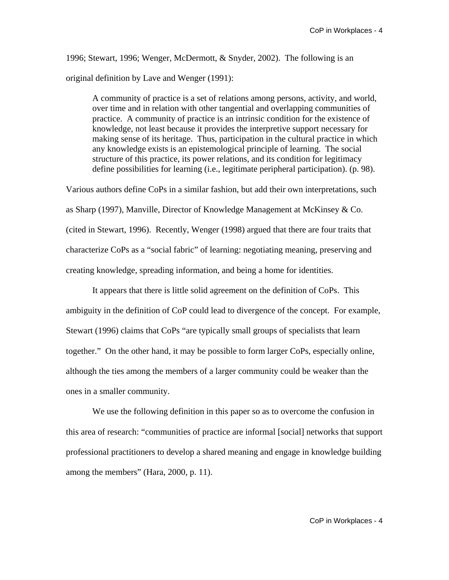1996; Stewart, 1996; Wenger, McDermott, & Snyder, 2002). The following is an original definition by Lave and Wenger (1991):

A community of practice is a set of relations among persons, activity, and world, over time and in relation with other tangential and overlapping communities of practice. A community of practice is an intrinsic condition for the existence of knowledge, not least because it provides the interpretive support necessary for making sense of its heritage. Thus, participation in the cultural practice in which any knowledge exists is an epistemological principle of learning. The social structure of this practice, its power relations, and its condition for legitimacy define possibilities for learning (i.e., legitimate peripheral participation). (p. 98).

Various authors define CoPs in a similar fashion, but add their own interpretations, such as Sharp (1997), Manville, Director of Knowledge Management at McKinsey & Co. (cited in Stewart, 1996). Recently, Wenger (1998) argued that there are four traits that characterize CoPs as a "social fabric" of learning: negotiating meaning, preserving and creating knowledge, spreading information, and being a home for identities.

It appears that there is little solid agreement on the definition of CoPs. This ambiguity in the definition of CoP could lead to divergence of the concept. For example, Stewart (1996) claims that CoPs "are typically small groups of specialists that learn together." On the other hand, it may be possible to form larger CoPs, especially online, although the ties among the members of a larger community could be weaker than the ones in a smaller community.

We use the following definition in this paper so as to overcome the confusion in this area of research: "communities of practice are informal [social] networks that support professional practitioners to develop a shared meaning and engage in knowledge building among the members" (Hara, 2000, p. 11).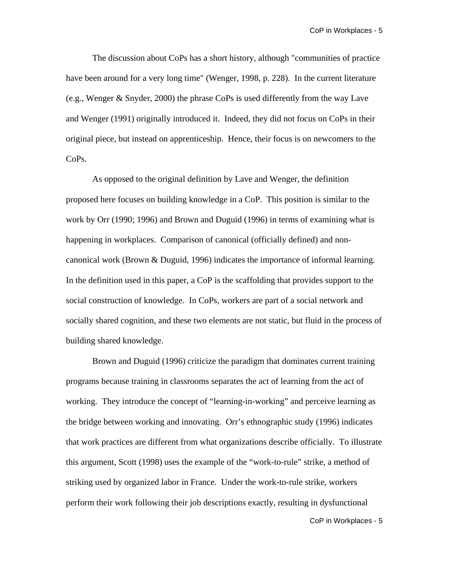The discussion about CoPs has a short history, although "communities of practice have been around for a very long time" (Wenger, 1998, p. 228). In the current literature (e.g., Wenger & Snyder, 2000) the phrase CoPs is used differently from the way Lave and Wenger (1991) originally introduced it. Indeed, they did not focus on CoPs in their original piece, but instead on apprenticeship. Hence, their focus is on newcomers to the CoPs.

As opposed to the original definition by Lave and Wenger, the definition proposed here focuses on building knowledge in a CoP. This position is similar to the work by Orr (1990; 1996) and Brown and Duguid (1996) in terms of examining what is happening in workplaces. Comparison of canonical (officially defined) and noncanonical work (Brown & Duguid, 1996) indicates the importance of informal learning. In the definition used in this paper, a CoP is the scaffolding that provides support to the social construction of knowledge. In CoPs, workers are part of a social network and socially shared cognition, and these two elements are not static, but fluid in the process of building shared knowledge.

Brown and Duguid (1996) criticize the paradigm that dominates current training programs because training in classrooms separates the act of learning from the act of working. They introduce the concept of "learning-in-working" and perceive learning as the bridge between working and innovating. Orr's ethnographic study (1996) indicates that work practices are different from what organizations describe officially. To illustrate this argument, Scott (1998) uses the example of the "work-to-rule" strike, a method of striking used by organized labor in France. Under the work-to-rule strike, workers perform their work following their job descriptions exactly, resulting in dysfunctional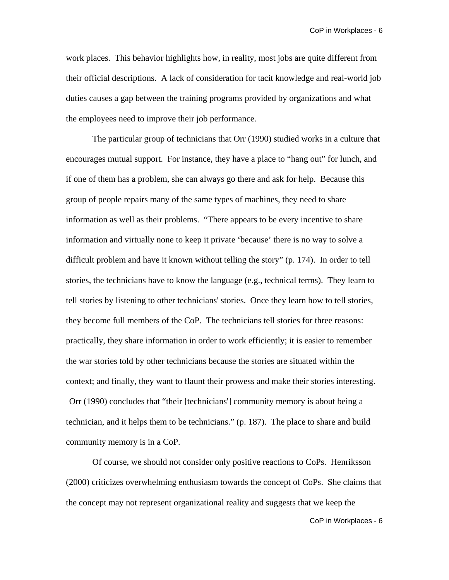work places. This behavior highlights how, in reality, most jobs are quite different from their official descriptions. A lack of consideration for tacit knowledge and real-world job duties causes a gap between the training programs provided by organizations and what the employees need to improve their job performance.

The particular group of technicians that Orr (1990) studied works in a culture that encourages mutual support. For instance, they have a place to "hang out" for lunch, and if one of them has a problem, she can always go there and ask for help. Because this group of people repairs many of the same types of machines, they need to share information as well as their problems. "There appears to be every incentive to share information and virtually none to keep it private 'because' there is no way to solve a difficult problem and have it known without telling the story" (p. 174). In order to tell stories, the technicians have to know the language (e.g., technical terms). They learn to tell stories by listening to other technicians' stories. Once they learn how to tell stories, they become full members of the CoP. The technicians tell stories for three reasons: practically, they share information in order to work efficiently; it is easier to remember the war stories told by other technicians because the stories are situated within the context; and finally, they want to flaunt their prowess and make their stories interesting. Orr (1990) concludes that "their [technicians'] community memory is about being a technician, and it helps them to be technicians." (p. 187). The place to share and build community memory is in a CoP.

 Of course, we should not consider only positive reactions to CoPs. Henriksson (2000) criticizes overwhelming enthusiasm towards the concept of CoPs. She claims that the concept may not represent organizational reality and suggests that we keep the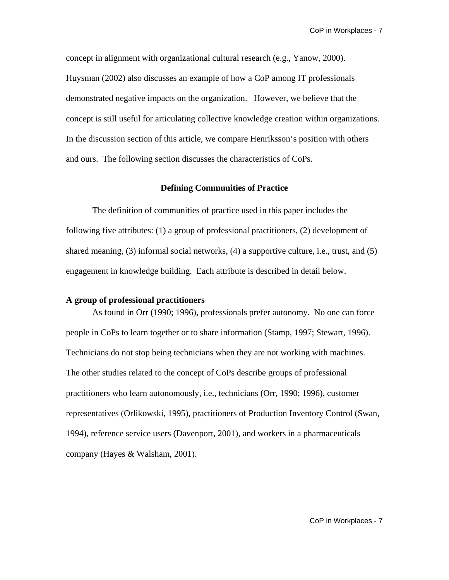concept in alignment with organizational cultural research (e.g., Yanow, 2000). Huysman (2002) also discusses an example of how a CoP among IT professionals demonstrated negative impacts on the organization. However, we believe that the concept is still useful for articulating collective knowledge creation within organizations. In the discussion section of this article, we compare Henriksson's position with others and ours. The following section discusses the characteristics of CoPs.

## **Defining Communities of Practice**

The definition of communities of practice used in this paper includes the following five attributes: (1) a group of professional practitioners, (2) development of shared meaning, (3) informal social networks, (4) a supportive culture, i.e., trust, and (5) engagement in knowledge building. Each attribute is described in detail below.

## **A group of professional practitioners**

As found in Orr (1990; 1996), professionals prefer autonomy. No one can force people in CoPs to learn together or to share information (Stamp, 1997; Stewart, 1996). Technicians do not stop being technicians when they are not working with machines. The other studies related to the concept of CoPs describe groups of professional practitioners who learn autonomously, i.e., technicians (Orr, 1990; 1996), customer representatives (Orlikowski, 1995), practitioners of Production Inventory Control (Swan, 1994), reference service users (Davenport, 2001), and workers in a pharmaceuticals company (Hayes & Walsham, 2001).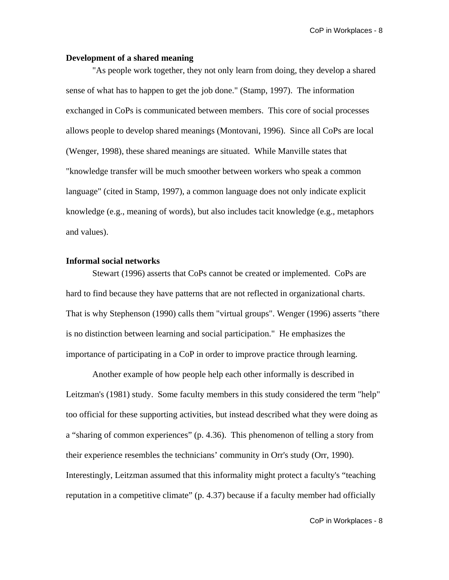#### **Development of a shared meaning**

"As people work together, they not only learn from doing, they develop a shared sense of what has to happen to get the job done." (Stamp, 1997). The information exchanged in CoPs is communicated between members. This core of social processes allows people to develop shared meanings (Montovani, 1996). Since all CoPs are local (Wenger, 1998), these shared meanings are situated. While Manville states that "knowledge transfer will be much smoother between workers who speak a common language" (cited in Stamp, 1997), a common language does not only indicate explicit knowledge (e.g., meaning of words), but also includes tacit knowledge (e.g., metaphors and values).

## **Informal social networks**

Stewart (1996) asserts that CoPs cannot be created or implemented. CoPs are hard to find because they have patterns that are not reflected in organizational charts. That is why Stephenson (1990) calls them "virtual groups". Wenger (1996) asserts "there is no distinction between learning and social participation." He emphasizes the importance of participating in a CoP in order to improve practice through learning.

Another example of how people help each other informally is described in Leitzman's (1981) study. Some faculty members in this study considered the term "help" too official for these supporting activities, but instead described what they were doing as a "sharing of common experiences" (p. 4.36). This phenomenon of telling a story from their experience resembles the technicians' community in Orr's study (Orr, 1990). Interestingly, Leitzman assumed that this informality might protect a faculty's "teaching reputation in a competitive climate" (p. 4.37) because if a faculty member had officially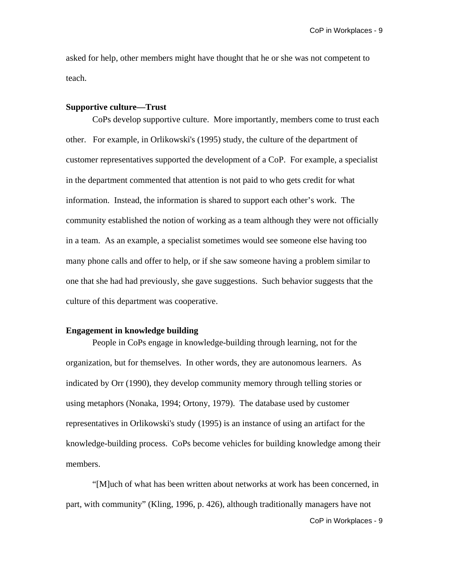asked for help, other members might have thought that he or she was not competent to teach.

## **Supportive culture—Trust**

CoPs develop supportive culture. More importantly, members come to trust each other. For example, in Orlikowski's (1995) study, the culture of the department of customer representatives supported the development of a CoP. For example, a specialist in the department commented that attention is not paid to who gets credit for what information. Instead, the information is shared to support each other's work. The community established the notion of working as a team although they were not officially in a team. As an example, a specialist sometimes would see someone else having too many phone calls and offer to help, or if she saw someone having a problem similar to one that she had had previously, she gave suggestions. Such behavior suggests that the culture of this department was cooperative.

## **Engagement in knowledge building**

People in CoPs engage in knowledge-building through learning, not for the organization, but for themselves. In other words, they are autonomous learners. As indicated by Orr (1990), they develop community memory through telling stories or using metaphors (Nonaka, 1994; Ortony, 1979). The database used by customer representatives in Orlikowski's study (1995) is an instance of using an artifact for the knowledge-building process. CoPs become vehicles for building knowledge among their members.

"[M]uch of what has been written about networks at work has been concerned, in part, with community" (Kling, 1996, p. 426), although traditionally managers have not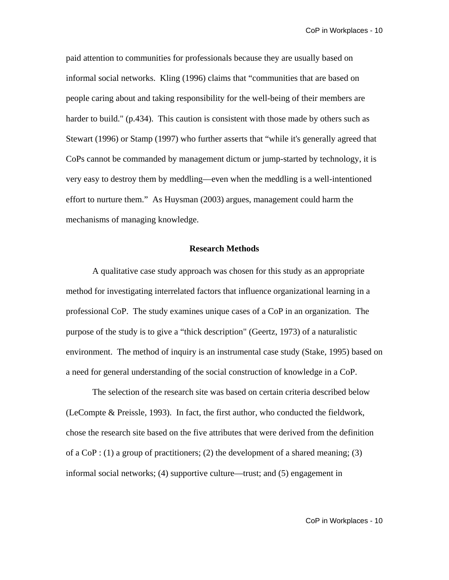paid attention to communities for professionals because they are usually based on informal social networks. Kling (1996) claims that "communities that are based on people caring about and taking responsibility for the well-being of their members are harder to build." (p.434). This caution is consistent with those made by others such as Stewart (1996) or Stamp (1997) who further asserts that "while it's generally agreed that CoPs cannot be commanded by management dictum or jump-started by technology, it is very easy to destroy them by meddling—even when the meddling is a well-intentioned effort to nurture them." As Huysman (2003) argues, management could harm the mechanisms of managing knowledge.

#### **Research Methods**

A qualitative case study approach was chosen for this study as an appropriate method for investigating interrelated factors that influence organizational learning in a professional CoP. The study examines unique cases of a CoP in an organization. The purpose of the study is to give a "thick description" (Geertz, 1973) of a naturalistic environment. The method of inquiry is an instrumental case study (Stake, 1995) based on a need for general understanding of the social construction of knowledge in a CoP.

The selection of the research site was based on certain criteria described below (LeCompte & Preissle, 1993). In fact, the first author, who conducted the fieldwork, chose the research site based on the five attributes that were derived from the definition of a CoP : (1) a group of practitioners; (2) the development of a shared meaning; (3) informal social networks; (4) supportive culture—trust; and (5) engagement in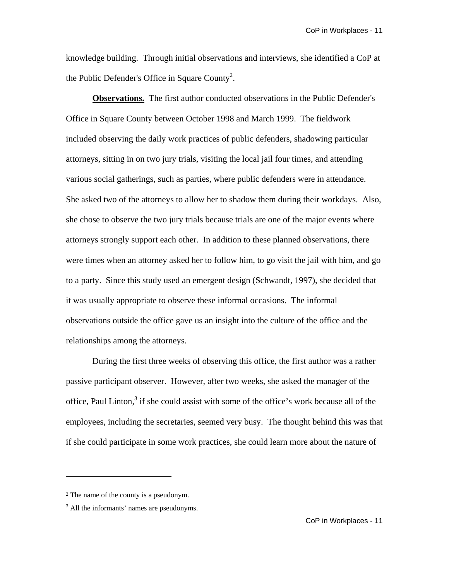knowledge building. Through initial observations and interviews, she identified a CoP at the Public Defender's Office in Square County<sup>2</sup>.

**Observations.** The first author conducted observations in the Public Defender's Office in Square County between October 1998 and March 1999. The fieldwork included observing the daily work practices of public defenders, shadowing particular attorneys, sitting in on two jury trials, visiting the local jail four times, and attending various social gatherings, such as parties, where public defenders were in attendance. She asked two of the attorneys to allow her to shadow them during their workdays. Also, she chose to observe the two jury trials because trials are one of the major events where attorneys strongly support each other. In addition to these planned observations, there were times when an attorney asked her to follow him, to go visit the jail with him, and go to a party. Since this study used an emergent design (Schwandt, 1997), she decided that it was usually appropriate to observe these informal occasions. The informal observations outside the office gave us an insight into the culture of the office and the relationships among the attorneys.

During the first three weeks of observing this office, the first author was a rather passive participant observer. However, after two weeks, she asked the manager of the office, Paul Linton,<sup>3</sup> if she could assist with some of the office's work because all of the employees, including the secretaries, seemed very busy. The thought behind this was that if she could participate in some work practices, she could learn more about the nature of

 $\overline{a}$ 

<sup>2</sup> The name of the county is a pseudonym.

<sup>&</sup>lt;sup>3</sup> All the informants' names are pseudonyms.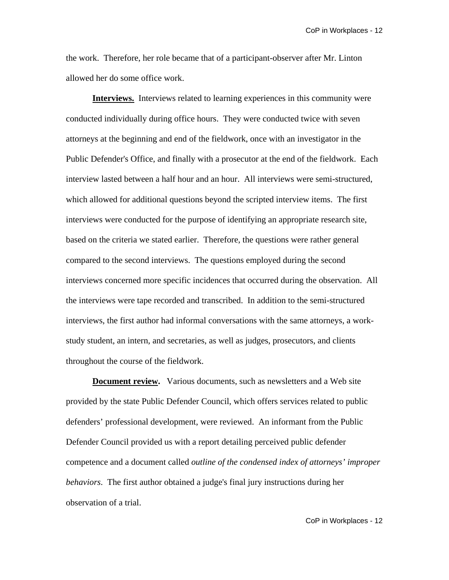the work. Therefore, her role became that of a participant-observer after Mr. Linton allowed her do some office work.

**Interviews.** Interviews related to learning experiences in this community were conducted individually during office hours. They were conducted twice with seven attorneys at the beginning and end of the fieldwork, once with an investigator in the Public Defender's Office, and finally with a prosecutor at the end of the fieldwork. Each interview lasted between a half hour and an hour. All interviews were semi-structured, which allowed for additional questions beyond the scripted interview items. The first interviews were conducted for the purpose of identifying an appropriate research site, based on the criteria we stated earlier. Therefore, the questions were rather general compared to the second interviews. The questions employed during the second interviews concerned more specific incidences that occurred during the observation. All the interviews were tape recorded and transcribed. In addition to the semi-structured interviews, the first author had informal conversations with the same attorneys, a workstudy student, an intern, and secretaries, as well as judges, prosecutors, and clients throughout the course of the fieldwork.

**Document review.** Various documents, such as newsletters and a Web site provided by the state Public Defender Council, which offers services related to public defenders' professional development, were reviewed. An informant from the Public Defender Council provided us with a report detailing perceived public defender competence and a document called *outline of the condensed index of attorneys' improper behaviors*. The first author obtained a judge's final jury instructions during her observation of a trial.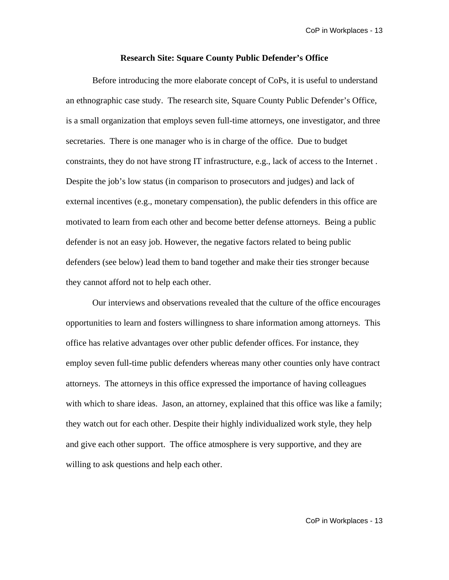### **Research Site: Square County Public Defender's Office**

Before introducing the more elaborate concept of CoPs, it is useful to understand an ethnographic case study. The research site, Square County Public Defender's Office, is a small organization that employs seven full-time attorneys, one investigator, and three secretaries. There is one manager who is in charge of the office. Due to budget constraints, they do not have strong IT infrastructure, e.g., lack of access to the Internet . Despite the job's low status (in comparison to prosecutors and judges) and lack of external incentives (e.g., monetary compensation), the public defenders in this office are motivated to learn from each other and become better defense attorneys. Being a public defender is not an easy job. However, the negative factors related to being public defenders (see below) lead them to band together and make their ties stronger because they cannot afford not to help each other.

Our interviews and observations revealed that the culture of the office encourages opportunities to learn and fosters willingness to share information among attorneys. This office has relative advantages over other public defender offices. For instance, they employ seven full-time public defenders whereas many other counties only have contract attorneys. The attorneys in this office expressed the importance of having colleagues with which to share ideas. Jason, an attorney, explained that this office was like a family; they watch out for each other. Despite their highly individualized work style, they help and give each other support. The office atmosphere is very supportive, and they are willing to ask questions and help each other.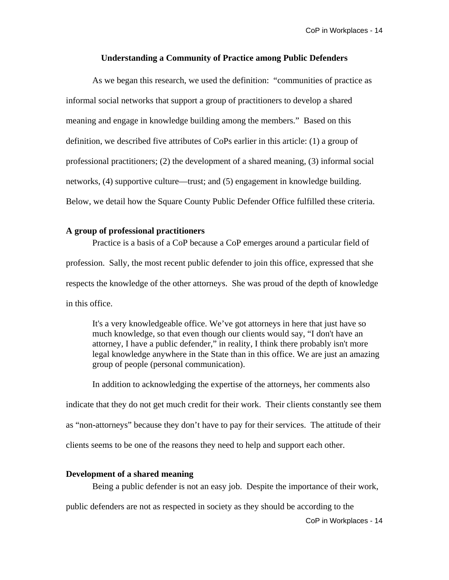#### **Understanding a Community of Practice among Public Defenders**

As we began this research, we used the definition: "communities of practice as informal social networks that support a group of practitioners to develop a shared meaning and engage in knowledge building among the members." Based on this definition, we described five attributes of CoPs earlier in this article: (1) a group of professional practitioners; (2) the development of a shared meaning, (3) informal social networks, (4) supportive culture—trust; and (5) engagement in knowledge building. Below, we detail how the Square County Public Defender Office fulfilled these criteria.

## **A group of professional practitioners**

Practice is a basis of a CoP because a CoP emerges around a particular field of profession. Sally, the most recent public defender to join this office, expressed that she respects the knowledge of the other attorneys. She was proud of the depth of knowledge in this office.

It's a very knowledgeable office. We've got attorneys in here that just have so much knowledge, so that even though our clients would say, "I don't have an attorney, I have a public defender," in reality, I think there probably isn't more legal knowledge anywhere in the State than in this office. We are just an amazing group of people (personal communication).

In addition to acknowledging the expertise of the attorneys, her comments also indicate that they do not get much credit for their work. Their clients constantly see them as "non-attorneys" because they don't have to pay for their services. The attitude of their clients seems to be one of the reasons they need to help and support each other.

#### **Development of a shared meaning**

Being a public defender is not an easy job. Despite the importance of their work,

public defenders are not as respected in society as they should be according to the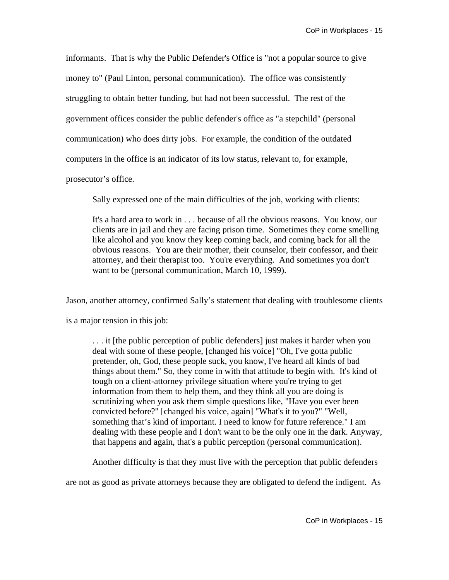informants. That is why the Public Defender's Office is "not a popular source to give money to" (Paul Linton, personal communication). The office was consistently struggling to obtain better funding, but had not been successful. The rest of the government offices consider the public defender's office as "a stepchild" (personal communication) who does dirty jobs. For example, the condition of the outdated computers in the office is an indicator of its low status, relevant to, for example,

prosecutor's office.

Sally expressed one of the main difficulties of the job, working with clients:

It's a hard area to work in . . . because of all the obvious reasons. You know, our clients are in jail and they are facing prison time. Sometimes they come smelling like alcohol and you know they keep coming back, and coming back for all the obvious reasons. You are their mother, their counselor, their confessor, and their attorney, and their therapist too. You're everything. And sometimes you don't want to be (personal communication, March 10, 1999).

Jason, another attorney, confirmed Sally's statement that dealing with troublesome clients

is a major tension in this job:

. . . it [the public perception of public defenders] just makes it harder when you deal with some of these people, [changed his voice] "Oh, I've gotta public pretender, oh, God, these people suck, you know, I've heard all kinds of bad things about them." So, they come in with that attitude to begin with. It's kind of tough on a client-attorney privilege situation where you're trying to get information from them to help them, and they think all you are doing is scrutinizing when you ask them simple questions like, "Have you ever been convicted before?" [changed his voice, again] "What's it to you?" "Well, something that's kind of important. I need to know for future reference." I am dealing with these people and I don't want to be the only one in the dark. Anyway, that happens and again, that's a public perception (personal communication).

Another difficulty is that they must live with the perception that public defenders

are not as good as private attorneys because they are obligated to defend the indigent. As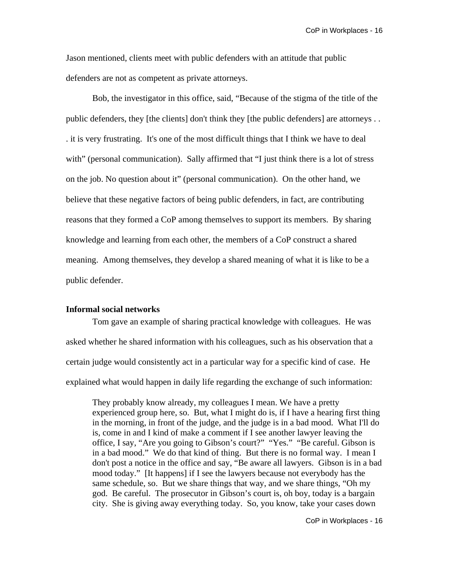Jason mentioned, clients meet with public defenders with an attitude that public defenders are not as competent as private attorneys.

Bob, the investigator in this office, said, "Because of the stigma of the title of the public defenders, they [the clients] don't think they [the public defenders] are attorneys . . . it is very frustrating. It's one of the most difficult things that I think we have to deal with" (personal communication). Sally affirmed that "I just think there is a lot of stress on the job. No question about it" (personal communication). On the other hand, we believe that these negative factors of being public defenders, in fact, are contributing reasons that they formed a CoP among themselves to support its members. By sharing knowledge and learning from each other, the members of a CoP construct a shared meaning. Among themselves, they develop a shared meaning of what it is like to be a public defender.

#### **Informal social networks**

Tom gave an example of sharing practical knowledge with colleagues. He was asked whether he shared information with his colleagues, such as his observation that a certain judge would consistently act in a particular way for a specific kind of case. He explained what would happen in daily life regarding the exchange of such information:

They probably know already, my colleagues I mean. We have a pretty experienced group here, so. But, what I might do is, if I have a hearing first thing in the morning, in front of the judge, and the judge is in a bad mood. What I'll do is, come in and I kind of make a comment if I see another lawyer leaving the office, I say, "Are you going to Gibson's court?" "Yes." "Be careful. Gibson is in a bad mood." We do that kind of thing. But there is no formal way. I mean I don't post a notice in the office and say, "Be aware all lawyers. Gibson is in a bad mood today." [It happens] if I see the lawyers because not everybody has the same schedule, so. But we share things that way, and we share things, "Oh my god. Be careful. The prosecutor in Gibson's court is, oh boy, today is a bargain city. She is giving away everything today. So, you know, take your cases down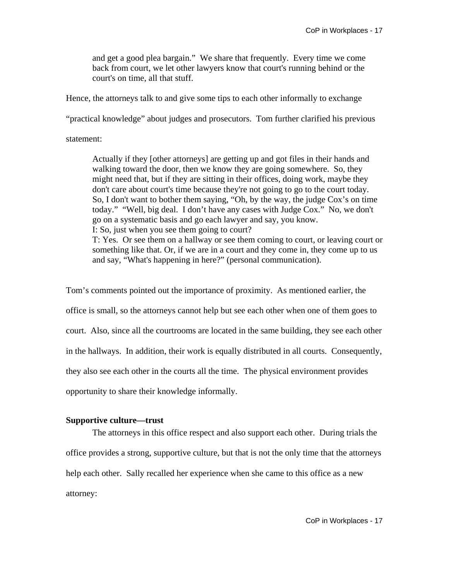and get a good plea bargain." We share that frequently. Every time we come back from court, we let other lawyers know that court's running behind or the court's on time, all that stuff.

Hence, the attorneys talk to and give some tips to each other informally to exchange

"practical knowledge" about judges and prosecutors. Tom further clarified his previous

statement:

Actually if they [other attorneys] are getting up and got files in their hands and walking toward the door, then we know they are going somewhere. So, they might need that, but if they are sitting in their offices, doing work, maybe they don't care about court's time because they're not going to go to the court today. So, I don't want to bother them saying, "Oh, by the way, the judge Cox's on time today." "Well, big deal. I don't have any cases with Judge Cox." No, we don't go on a systematic basis and go each lawyer and say, you know. I: So, just when you see them going to court? T: Yes. Or see them on a hallway or see them coming to court, or leaving court or something like that. Or, if we are in a court and they come in, they come up to us and say, "What's happening in here?" (personal communication).

Tom's comments pointed out the importance of proximity. As mentioned earlier, the office is small, so the attorneys cannot help but see each other when one of them goes to court. Also, since all the courtrooms are located in the same building, they see each other in the hallways. In addition, their work is equally distributed in all courts. Consequently, they also see each other in the courts all the time. The physical environment provides opportunity to share their knowledge informally.

# **Supportive culture—trust**

The attorneys in this office respect and also support each other. During trials the office provides a strong, supportive culture, but that is not the only time that the attorneys help each other. Sally recalled her experience when she came to this office as a new attorney: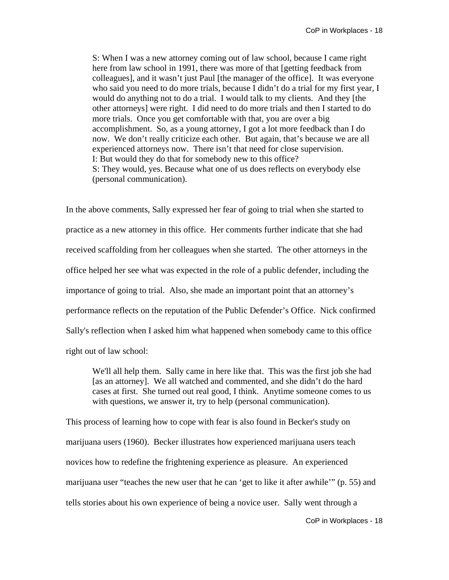S: When I was a new attorney coming out of law school, because I came right here from law school in 1991, there was more of that [getting feedback from colleagues], and it wasn't just Paul [the manager of the office]. It was everyone who said you need to do more trials, because I didn't do a trial for my first year, I would do anything not to do a trial. I would talk to my clients. And they [the other attorneys] were right. I did need to do more trials and then I started to do more trials. Once you get comfortable with that, you are over a big accomplishment. So, as a young attorney, I got a lot more feedback than I do now. We don't really criticize each other. But again, that's because we are all experienced attorneys now. There isn't that need for close supervision. I: But would they do that for somebody new to this office? S: They would, yes. Because what one of us does reflects on everybody else (personal communication).

In the above comments, Sally expressed her fear of going to trial when she started to practice as a new attorney in this office. Her comments further indicate that she had received scaffolding from her colleagues when she started. The other attorneys in the office helped her see what was expected in the role of a public defender, including the importance of going to trial. Also, she made an important point that an attorney's performance reflects on the reputation of the Public Defender's Office. Nick confirmed Sally's reflection when I asked him what happened when somebody came to this office right out of law school:

We'll all help them. Sally came in here like that. This was the first job she had [as an attorney]. We all watched and commented, and she didn't do the hard cases at first. She turned out real good, I think. Anytime someone comes to us with questions, we answer it, try to help (personal communication).

This process of learning how to cope with fear is also found in Becker's study on marijuana users (1960). Becker illustrates how experienced marijuana users teach novices how to redefine the frightening experience as pleasure. An experienced marijuana user "teaches the new user that he can 'get to like it after awhile'" (p. 55) and tells stories about his own experience of being a novice user. Sally went through a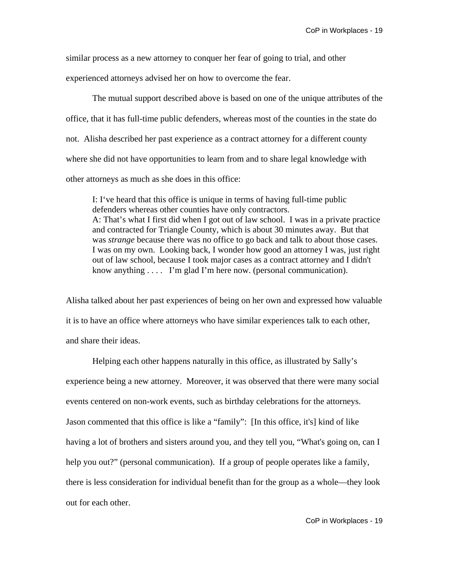similar process as a new attorney to conquer her fear of going to trial, and other

experienced attorneys advised her on how to overcome the fear.

The mutual support described above is based on one of the unique attributes of the office, that it has full-time public defenders, whereas most of the counties in the state do not. Alisha described her past experience as a contract attorney for a different county where she did not have opportunities to learn from and to share legal knowledge with other attorneys as much as she does in this office:

I: I've heard that this office is unique in terms of having full-time public defenders whereas other counties have only contractors. A: That's what I first did when I got out of law school. I was in a private practice and contracted for Triangle County, which is about 30 minutes away. But that was *strange* because there was no office to go back and talk to about those cases. I was on my own. Looking back, I wonder how good an attorney I was, just right out of law school, because I took major cases as a contract attorney and I didn't know anything . . . . I'm glad I'm here now. (personal communication).

Alisha talked about her past experiences of being on her own and expressed how valuable it is to have an office where attorneys who have similar experiences talk to each other, and share their ideas.

Helping each other happens naturally in this office, as illustrated by Sally's experience being a new attorney. Moreover, it was observed that there were many social events centered on non-work events, such as birthday celebrations for the attorneys. Jason commented that this office is like a "family": [In this office, it's] kind of like having a lot of brothers and sisters around you, and they tell you, "What's going on, can I help you out?" (personal communication). If a group of people operates like a family, there is less consideration for individual benefit than for the group as a whole—they look out for each other.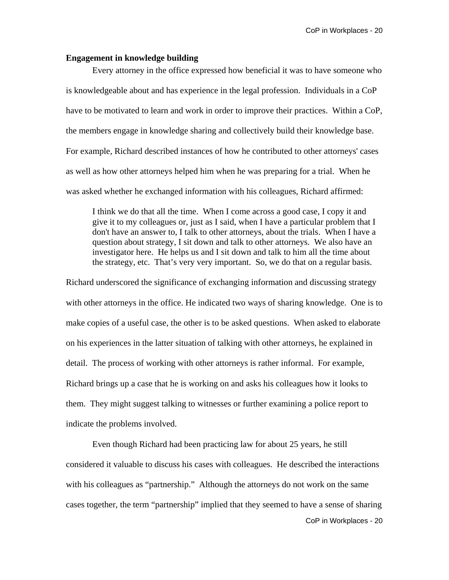#### **Engagement in knowledge building**

Every attorney in the office expressed how beneficial it was to have someone who is knowledgeable about and has experience in the legal profession. Individuals in a CoP have to be motivated to learn and work in order to improve their practices. Within a CoP, the members engage in knowledge sharing and collectively build their knowledge base. For example, Richard described instances of how he contributed to other attorneys' cases as well as how other attorneys helped him when he was preparing for a trial. When he was asked whether he exchanged information with his colleagues, Richard affirmed:

I think we do that all the time. When I come across a good case, I copy it and give it to my colleagues or, just as I said, when I have a particular problem that I don't have an answer to, I talk to other attorneys, about the trials. When I have a question about strategy, I sit down and talk to other attorneys. We also have an investigator here. He helps us and I sit down and talk to him all the time about the strategy, etc. That's very very important. So, we do that on a regular basis.

Richard underscored the significance of exchanging information and discussing strategy with other attorneys in the office. He indicated two ways of sharing knowledge. One is to make copies of a useful case, the other is to be asked questions. When asked to elaborate on his experiences in the latter situation of talking with other attorneys, he explained in detail. The process of working with other attorneys is rather informal. For example, Richard brings up a case that he is working on and asks his colleagues how it looks to them. They might suggest talking to witnesses or further examining a police report to indicate the problems involved.

Even though Richard had been practicing law for about 25 years, he still considered it valuable to discuss his cases with colleagues. He described the interactions with his colleagues as "partnership." Although the attorneys do not work on the same cases together, the term "partnership" implied that they seemed to have a sense of sharing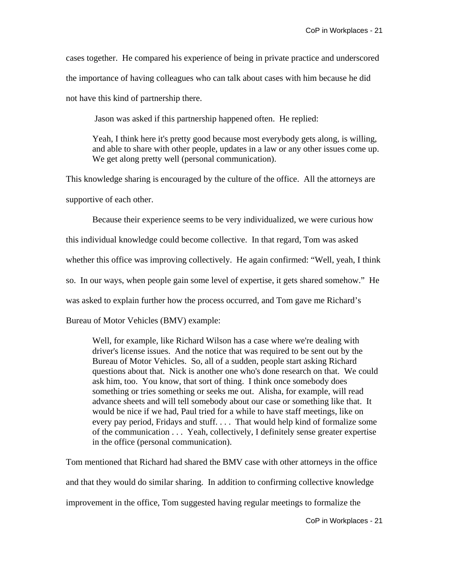cases together. He compared his experience of being in private practice and underscored the importance of having colleagues who can talk about cases with him because he did not have this kind of partnership there.

Jason was asked if this partnership happened often. He replied:

Yeah, I think here it's pretty good because most everybody gets along, is willing, and able to share with other people, updates in a law or any other issues come up. We get along pretty well (personal communication).

This knowledge sharing is encouraged by the culture of the office. All the attorneys are supportive of each other.

Because their experience seems to be very individualized, we were curious how this individual knowledge could become collective. In that regard, Tom was asked whether this office was improving collectively. He again confirmed: "Well, yeah, I think so. In our ways, when people gain some level of expertise, it gets shared somehow." He was asked to explain further how the process occurred, and Tom gave me Richard's Bureau of Motor Vehicles (BMV) example:

Well, for example, like Richard Wilson has a case where we're dealing with driver's license issues. And the notice that was required to be sent out by the Bureau of Motor Vehicles. So, all of a sudden, people start asking Richard questions about that. Nick is another one who's done research on that. We could ask him, too. You know, that sort of thing. I think once somebody does something or tries something or seeks me out. Alisha, for example, will read advance sheets and will tell somebody about our case or something like that. It would be nice if we had, Paul tried for a while to have staff meetings, like on every pay period, Fridays and stuff. . . . That would help kind of formalize some of the communication . . . Yeah, collectively, I definitely sense greater expertise in the office (personal communication).

Tom mentioned that Richard had shared the BMV case with other attorneys in the office and that they would do similar sharing. In addition to confirming collective knowledge improvement in the office, Tom suggested having regular meetings to formalize the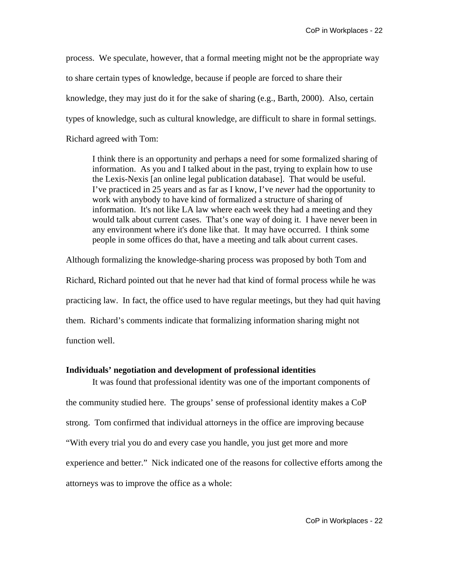process. We speculate, however, that a formal meeting might not be the appropriate way to share certain types of knowledge, because if people are forced to share their knowledge, they may just do it for the sake of sharing (e.g., Barth, 2000). Also, certain types of knowledge, such as cultural knowledge, are difficult to share in formal settings. Richard agreed with Tom:

I think there is an opportunity and perhaps a need for some formalized sharing of information. As you and I talked about in the past, trying to explain how to use the Lexis-Nexis [an online legal publication database]. That would be useful. I've practiced in 25 years and as far as I know, I've *never* had the opportunity to work with anybody to have kind of formalized a structure of sharing of information. It's not like LA law where each week they had a meeting and they would talk about current cases. That's one way of doing it. I have never been in any environment where it's done like that. It may have occurred. I think some people in some offices do that, have a meeting and talk about current cases.

Although formalizing the knowledge-sharing process was proposed by both Tom and Richard, Richard pointed out that he never had that kind of formal process while he was practicing law. In fact, the office used to have regular meetings, but they had quit having them. Richard's comments indicate that formalizing information sharing might not function well.

## **Individuals' negotiation and development of professional identities**

It was found that professional identity was one of the important components of the community studied here. The groups' sense of professional identity makes a CoP strong. Tom confirmed that individual attorneys in the office are improving because "With every trial you do and every case you handle, you just get more and more experience and better." Nick indicated one of the reasons for collective efforts among the attorneys was to improve the office as a whole: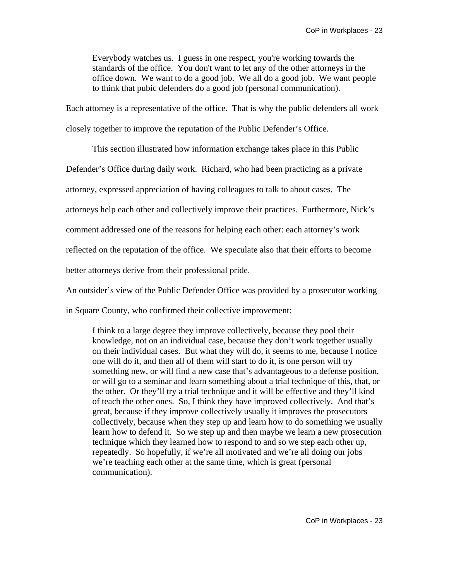Everybody watches us. I guess in one respect, you're working towards the standards of the office. You don't want to let any of the other attorneys in the office down. We want to do a good job. We all do a good job. We want people to think that pubic defenders do a good job (personal communication).

Each attorney is a representative of the office. That is why the public defenders all work closely together to improve the reputation of the Public Defender's Office.

This section illustrated how information exchange takes place in this Public

Defender's Office during daily work. Richard, who had been practicing as a private

attorney, expressed appreciation of having colleagues to talk to about cases. The

attorneys help each other and collectively improve their practices. Furthermore, Nick's

comment addressed one of the reasons for helping each other: each attorney's work

reflected on the reputation of the office. We speculate also that their efforts to become

better attorneys derive from their professional pride.

An outsider's view of the Public Defender Office was provided by a prosecutor working

in Square County, who confirmed their collective improvement:

I think to a large degree they improve collectively, because they pool their knowledge, not on an individual case, because they don't work together usually on their individual cases. But what they will do, it seems to me, because I notice one will do it, and then all of them will start to do it, is one person will try something new, or will find a new case that's advantageous to a defense position, or will go to a seminar and learn something about a trial technique of this, that, or the other. Or they'll try a trial technique and it will be effective and they'll kind of teach the other ones. So, I think they have improved collectively. And that's great, because if they improve collectively usually it improves the prosecutors collectively, because when they step up and learn how to do something we usually learn how to defend it. So we step up and then maybe we learn a new prosecution technique which they learned how to respond to and so we step each other up, repeatedly. So hopefully, if we're all motivated and we're all doing our jobs we're teaching each other at the same time, which is great (personal communication).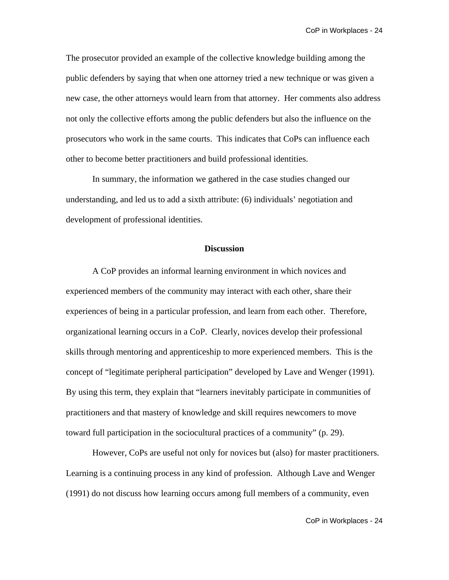The prosecutor provided an example of the collective knowledge building among the public defenders by saying that when one attorney tried a new technique or was given a new case, the other attorneys would learn from that attorney. Her comments also address not only the collective efforts among the public defenders but also the influence on the prosecutors who work in the same courts. This indicates that CoPs can influence each other to become better practitioners and build professional identities.

In summary, the information we gathered in the case studies changed our understanding, and led us to add a sixth attribute: (6) individuals' negotiation and development of professional identities.

#### **Discussion**

A CoP provides an informal learning environment in which novices and experienced members of the community may interact with each other, share their experiences of being in a particular profession, and learn from each other. Therefore, organizational learning occurs in a CoP. Clearly, novices develop their professional skills through mentoring and apprenticeship to more experienced members. This is the concept of "legitimate peripheral participation" developed by Lave and Wenger (1991). By using this term, they explain that "learners inevitably participate in communities of practitioners and that mastery of knowledge and skill requires newcomers to move toward full participation in the sociocultural practices of a community" (p. 29).

However, CoPs are useful not only for novices but (also) for master practitioners. Learning is a continuing process in any kind of profession. Although Lave and Wenger (1991) do not discuss how learning occurs among full members of a community, even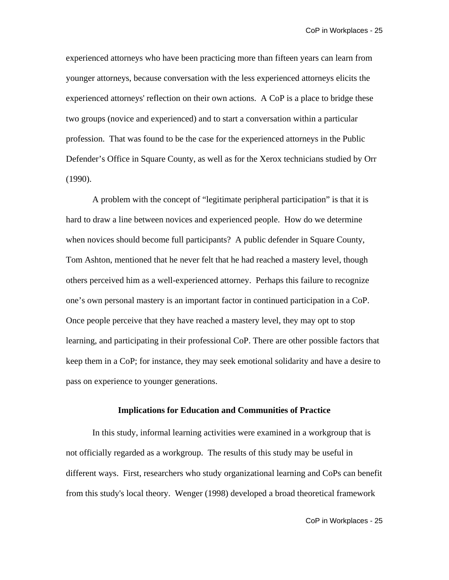experienced attorneys who have been practicing more than fifteen years can learn from younger attorneys, because conversation with the less experienced attorneys elicits the experienced attorneys' reflection on their own actions. A CoP is a place to bridge these two groups (novice and experienced) and to start a conversation within a particular profession. That was found to be the case for the experienced attorneys in the Public Defender's Office in Square County, as well as for the Xerox technicians studied by Orr (1990).

A problem with the concept of "legitimate peripheral participation" is that it is hard to draw a line between novices and experienced people. How do we determine when novices should become full participants? A public defender in Square County, Tom Ashton, mentioned that he never felt that he had reached a mastery level, though others perceived him as a well-experienced attorney. Perhaps this failure to recognize one's own personal mastery is an important factor in continued participation in a CoP. Once people perceive that they have reached a mastery level, they may opt to stop learning, and participating in their professional CoP. There are other possible factors that keep them in a CoP; for instance, they may seek emotional solidarity and have a desire to pass on experience to younger generations.

## **Implications for Education and Communities of Practice**

In this study, informal learning activities were examined in a workgroup that is not officially regarded as a workgroup. The results of this study may be useful in different ways. First, researchers who study organizational learning and CoPs can benefit from this study's local theory. Wenger (1998) developed a broad theoretical framework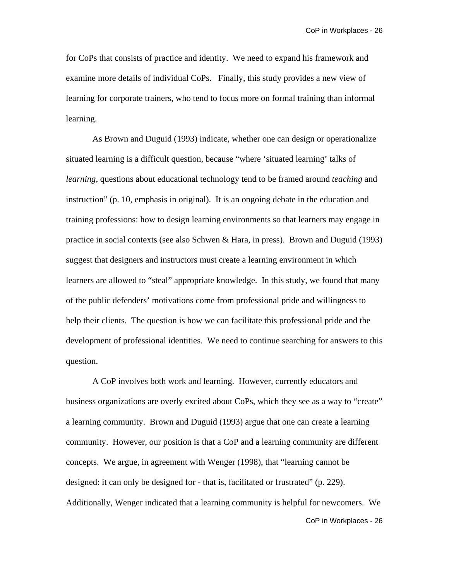for CoPs that consists of practice and identity. We need to expand his framework and examine more details of individual CoPs. Finally, this study provides a new view of learning for corporate trainers, who tend to focus more on formal training than informal learning.

As Brown and Duguid (1993) indicate, whether one can design or operationalize situated learning is a difficult question, because "where 'situated learning' talks of *learning*, questions about educational technology tend to be framed around *teaching* and instruction" (p. 10, emphasis in original). It is an ongoing debate in the education and training professions: how to design learning environments so that learners may engage in practice in social contexts (see also Schwen & Hara, in press). Brown and Duguid (1993) suggest that designers and instructors must create a learning environment in which learners are allowed to "steal" appropriate knowledge. In this study, we found that many of the public defenders' motivations come from professional pride and willingness to help their clients. The question is how we can facilitate this professional pride and the development of professional identities. We need to continue searching for answers to this question.

A CoP involves both work and learning. However, currently educators and business organizations are overly excited about CoPs, which they see as a way to "create" a learning community. Brown and Duguid (1993) argue that one can create a learning community. However, our position is that a CoP and a learning community are different concepts. We argue, in agreement with Wenger (1998), that "learning cannot be designed: it can only be designed for - that is, facilitated or frustrated" (p. 229). Additionally, Wenger indicated that a learning community is helpful for newcomers. We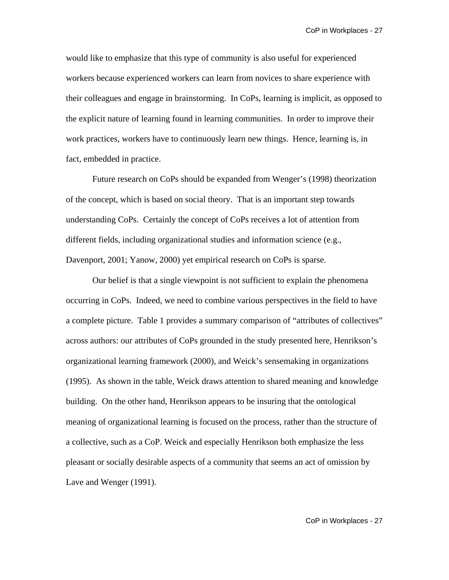would like to emphasize that this type of community is also useful for experienced workers because experienced workers can learn from novices to share experience with their colleagues and engage in brainstorming. In CoPs, learning is implicit, as opposed to the explicit nature of learning found in learning communities. In order to improve their work practices, workers have to continuously learn new things. Hence, learning is, in fact, embedded in practice.

Future research on CoPs should be expanded from Wenger's (1998) theorization of the concept, which is based on social theory. That is an important step towards understanding CoPs. Certainly the concept of CoPs receives a lot of attention from different fields, including organizational studies and information science (e.g., Davenport, 2001; Yanow, 2000) yet empirical research on CoPs is sparse.

Our belief is that a single viewpoint is not sufficient to explain the phenomena occurring in CoPs. Indeed, we need to combine various perspectives in the field to have a complete picture. Table 1 provides a summary comparison of "attributes of collectives" across authors: our attributes of CoPs grounded in the study presented here, Henrikson's organizational learning framework (2000), and Weick's sensemaking in organizations (1995). As shown in the table, Weick draws attention to shared meaning and knowledge building. On the other hand, Henrikson appears to be insuring that the ontological meaning of organizational learning is focused on the process, rather than the structure of a collective, such as a CoP. Weick and especially Henrikson both emphasize the less pleasant or socially desirable aspects of a community that seems an act of omission by Lave and Wenger (1991).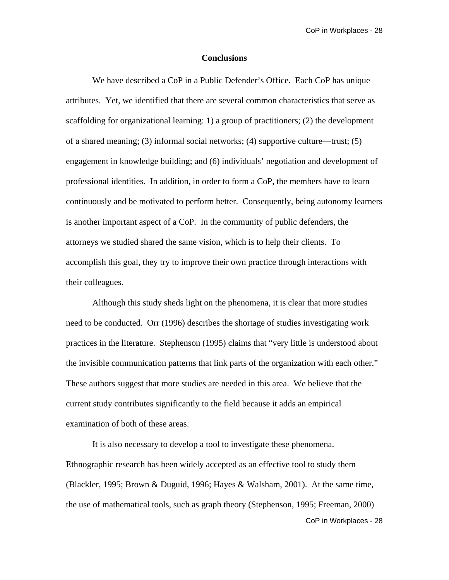#### **Conclusions**

We have described a CoP in a Public Defender's Office. Each CoP has unique attributes. Yet, we identified that there are several common characteristics that serve as scaffolding for organizational learning: 1) a group of practitioners; (2) the development of a shared meaning; (3) informal social networks; (4) supportive culture—trust; (5) engagement in knowledge building; and (6) individuals' negotiation and development of professional identities. In addition, in order to form a CoP, the members have to learn continuously and be motivated to perform better. Consequently, being autonomy learners is another important aspect of a CoP. In the community of public defenders, the attorneys we studied shared the same vision, which is to help their clients. To accomplish this goal, they try to improve their own practice through interactions with their colleagues.

Although this study sheds light on the phenomena, it is clear that more studies need to be conducted. Orr (1996) describes the shortage of studies investigating work practices in the literature. Stephenson (1995) claims that "very little is understood about the invisible communication patterns that link parts of the organization with each other." These authors suggest that more studies are needed in this area. We believe that the current study contributes significantly to the field because it adds an empirical examination of both of these areas.

It is also necessary to develop a tool to investigate these phenomena. Ethnographic research has been widely accepted as an effective tool to study them (Blackler, 1995; Brown & Duguid, 1996; Hayes & Walsham, 2001). At the same time, the use of mathematical tools, such as graph theory (Stephenson, 1995; Freeman, 2000)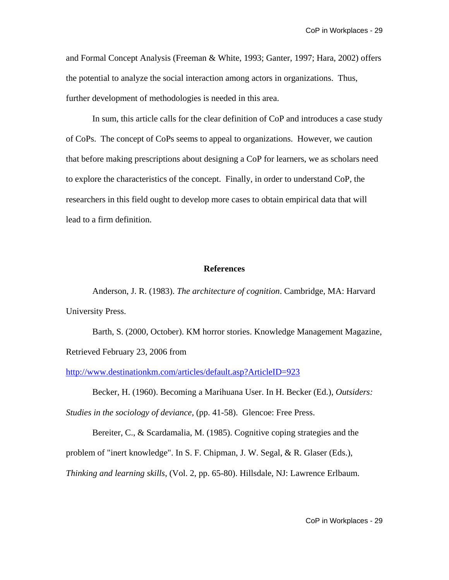and Formal Concept Analysis (Freeman & White, 1993; Ganter, 1997; Hara, 2002) offers the potential to analyze the social interaction among actors in organizations. Thus, further development of methodologies is needed in this area.

In sum, this article calls for the clear definition of CoP and introduces a case study of CoPs. The concept of CoPs seems to appeal to organizations. However, we caution that before making prescriptions about designing a CoP for learners, we as scholars need to explore the characteristics of the concept. Finally, in order to understand CoP, the researchers in this field ought to develop more cases to obtain empirical data that will lead to a firm definition.

## **References**

Anderson, J. R. (1983). *The architecture of cognition*. Cambridge, MA: Harvard University Press.

Barth, S. (2000, October). KM horror stories. Knowledge Management Magazine, Retrieved February 23, 2006 from

http://www.destinationkm.com/articles/default.asp?ArticleID=923

Becker, H. (1960). Becoming a Marihuana User. In H. Becker (Ed.), *Outsiders: Studies in the sociology of deviance*, (pp. 41-58). Glencoe: Free Press.

Bereiter, C., & Scardamalia, M. (1985). Cognitive coping strategies and the problem of "inert knowledge". In S. F. Chipman, J. W. Segal, & R. Glaser (Eds.), *Thinking and learning skills*, (Vol. 2, pp. 65-80). Hillsdale, NJ: Lawrence Erlbaum.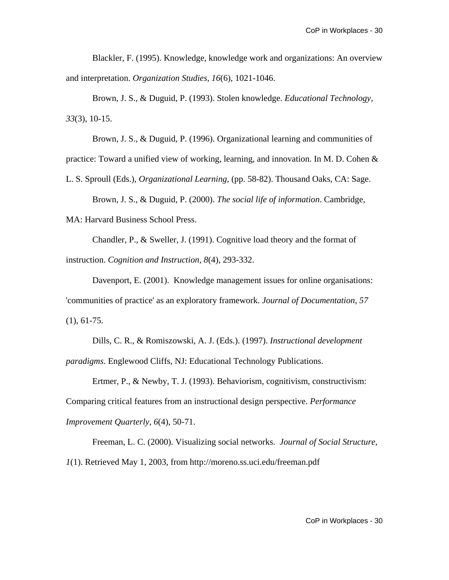Blackler, F. (1995). Knowledge, knowledge work and organizations: An overview and interpretation. *Organization Studies, 16*(6), 1021-1046.

Brown, J. S., & Duguid, P. (1993). Stolen knowledge. *Educational Technology, 33*(3), 10-15.

Brown, J. S., & Duguid, P. (1996). Organizational learning and communities of practice: Toward a unified view of working, learning, and innovation. In M. D. Cohen &

L. S. Sproull (Eds.), *Organizational Learning*, (pp. 58-82). Thousand Oaks, CA: Sage.

Brown, J. S., & Duguid, P. (2000). *The social life of information*. Cambridge,

MA: Harvard Business School Press.

Chandler, P., & Sweller, J. (1991). Cognitive load theory and the format of instruction. *Cognition and Instruction, 8*(4), 293-332.

Davenport, E. (2001). Knowledge management issues for online organisations: 'communities of practice' as an exploratory framework. *Journal of Documentation, 57* (1), 61-75.

Dills, C. R., & Romiszowski, A. J. (Eds.). (1997). *Instructional development paradigms*. Englewood Cliffs, NJ: Educational Technology Publications.

Ertmer, P., & Newby, T. J. (1993). Behaviorism, cognitivism, constructivism: Comparing critical features from an instructional design perspective. *Performance Improvement Quarterly, 6*(4), 50-71.

Freeman, L. C. (2000). Visualizing social networks. *Journal of Social Structure, 1*(1). Retrieved May 1, 2003, from http://moreno.ss.uci.edu/freeman.pdf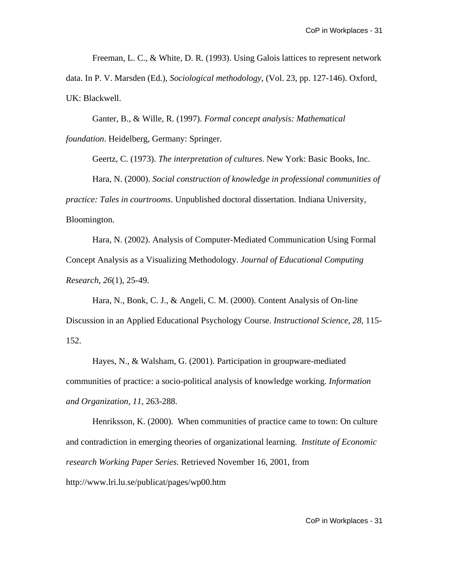Freeman, L. C., & White, D. R. (1993). Using Galois lattices to represent network data. In P. V. Marsden (Ed.), *Sociological methodology*, (Vol. 23, pp. 127-146). Oxford, UK: Blackwell.

Ganter, B., & Wille, R. (1997). *Formal concept analysis: Mathematical foundation*. Heidelberg, Germany: Springer.

Geertz, C. (1973). *The interpretation of cultures*. New York: Basic Books, Inc.

Hara, N. (2000). *Social construction of knowledge in professional communities of practice: Tales in courtrooms*. Unpublished doctoral dissertation. Indiana University, Bloomington.

Hara, N. (2002). Analysis of Computer-Mediated Communication Using Formal Concept Analysis as a Visualizing Methodology. *Journal of Educational Computing Research, 26*(1), 25-49.

Hara, N., Bonk, C. J., & Angeli, C. M. (2000). Content Analysis of On-line Discussion in an Applied Educational Psychology Course. *Instructional Science, 28*, 115- 152.

Hayes, N., & Walsham, G. (2001). Participation in groupware-mediated communities of practice: a socio-political analysis of knowledge working. *Information and Organization, 11*, 263-288.

Henriksson, K. (2000). When communities of practice came to town: On culture and contradiction in emerging theories of organizational learning. *Institute of Economic research Working Paper Series*. Retrieved November 16, 2001, from http://www.lri.lu.se/publicat/pages/wp00.htm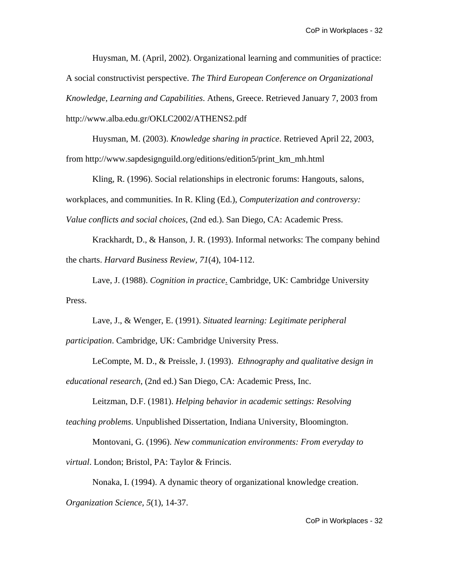Huysman, M. (April, 2002). Organizational learning and communities of practice: A social constructivist perspective. *The Third European Conference on Organizational Knowledge, Learning and Capabilities*. Athens, Greece. Retrieved January 7, 2003 from http://www.alba.edu.gr/OKLC2002/ATHENS2.pdf

Huysman, M. (2003). *Knowledge sharing in practice*. Retrieved April 22, 2003, from http://www.sapdesignguild.org/editions/edition5/print\_km\_mh.html

Kling, R. (1996). Social relationships in electronic forums: Hangouts, salons, workplaces, and communities. In R. Kling (Ed.), *Computerization and controversy: Value conflicts and social choices*, (2nd ed.). San Diego, CA: Academic Press.

Krackhardt, D., & Hanson, J. R. (1993). Informal networks: The company behind the charts. *Harvard Business Review, 71*(4), 104-112.

Lave, J. (1988). *Cognition in practice*. Cambridge, UK: Cambridge University Press.

Lave, J., & Wenger, E. (1991). *Situated learning: Legitimate peripheral participation*. Cambridge, UK: Cambridge University Press.

LeCompte, M. D., & Preissle, J. (1993). *Ethnography and qualitative design in educational research*, (2nd ed.) San Diego, CA: Academic Press, Inc.

Leitzman, D.F. (1981). *Helping behavior in academic settings: Resolving teaching problems*. Unpublished Dissertation, Indiana University, Bloomington.

Montovani, G. (1996). *New communication environments: From everyday to virtual*. London; Bristol, PA: Taylor & Frincis.

Nonaka, I. (1994). A dynamic theory of organizational knowledge creation. *Organization Science, 5*(1), 14-37.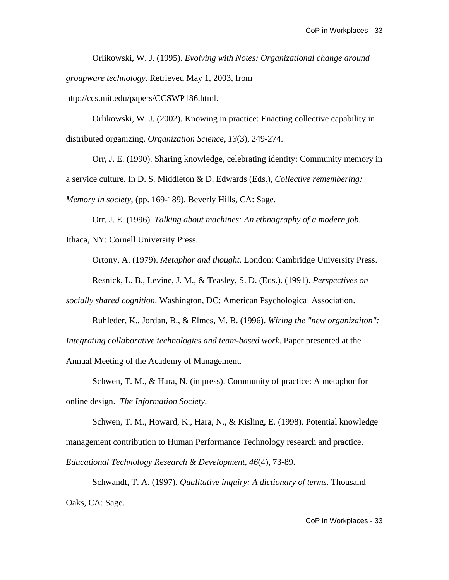Orlikowski, W. J. (1995). *Evolving with Notes: Organizational change around groupware technology*. Retrieved May 1, 2003, from http://ccs.mit.edu/papers/CCSWP186.html.

Orlikowski, W. J. (2002). Knowing in practice: Enacting collective capability in distributed organizing. *Organization Science, 13*(3), 249-274.

Orr, J. E. (1990). Sharing knowledge, celebrating identity: Community memory in a service culture. In D. S. Middleton & D. Edwards (Eds.), *Collective remembering: Memory in society*, (pp. 169-189). Beverly Hills, CA: Sage.

Orr, J. E. (1996). *Talking about machines: An ethnography of a modern job*. Ithaca, NY: Cornell University Press.

Ortony, A. (1979). *Metaphor and thought*. London: Cambridge University Press.

Resnick, L. B., Levine, J. M., & Teasley, S. D. (Eds.). (1991). *Perspectives on* 

*socially shared cognition*. Washington, DC: American Psychological Association.

Ruhleder, K., Jordan, B., & Elmes, M. B. (1996). *Wiring the "new organizaiton": Integrating collaborative technologies and team-based work*. Paper presented at the Annual Meeting of the Academy of Management.

Schwen, T. M., & Hara, N. (in press). Community of practice: A metaphor for online design. *The Information Society*.

Schwen, T. M., Howard, K., Hara, N., & Kisling, E. (1998). Potential knowledge management contribution to Human Performance Technology research and practice. *Educational Technology Research & Development, 46*(4), 73-89.

Schwandt, T. A. (1997). *Qualitative inquiry: A dictionary of terms*. Thousand Oaks, CA: Sage.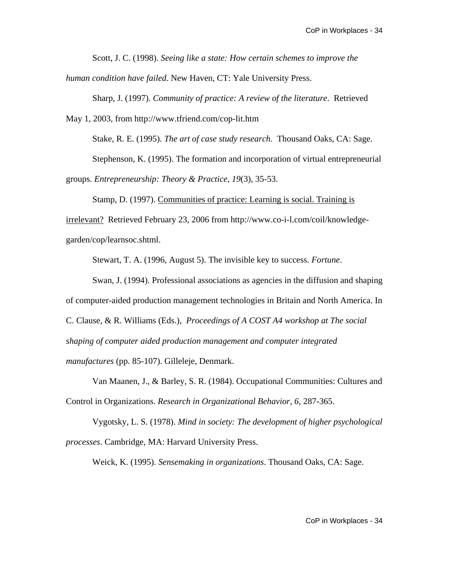Scott, J. C. (1998). *Seeing like a state: How certain schemes to improve the* 

*human condition have failed*. New Haven, CT: Yale University Press.

Sharp, J. (1997). *Community of practice: A review of the literature*. Retrieved

May 1, 2003, from http://www.tfriend.com/cop-lit.htm

Stake, R. E. (1995). *The art of case study research*. Thousand Oaks, CA: Sage. Stephenson, K. (1995). The formation and incorporation of virtual entrepreneurial groups. *Entrepreneurship: Theory & Practice, 19*(3), 35-53.

Stamp, D. (1997). Communities of practice: Learning is social. Training is irrelevant? Retrieved February 23, 2006 from http://www.co-i-l.com/coil/knowledgegarden/cop/learnsoc.shtml.

Stewart, T. A. (1996, August 5). The invisible key to success. *Fortune*.

Swan, J. (1994). Professional associations as agencies in the diffusion and shaping of computer-aided production management technologies in Britain and North America. In C. Clause, & R. Williams (Eds.), *Proceedings of A COST A4 workshop at The social shaping of computer aided production management and computer integrated manufactures* (pp. 85-107). Gilleleje, Denmark.

Van Maanen, J., & Barley, S. R. (1984). Occupational Communities: Cultures and Control in Organizations. *Research in Organizational Behavior, 6*, 287-365.

Vygotsky, L. S. (1978). *Mind in society: The development of higher psychological processes*. Cambridge, MA: Harvard University Press.

Weick, K. (1995). *Sensemaking in organizations*. Thousand Oaks, CA: Sage.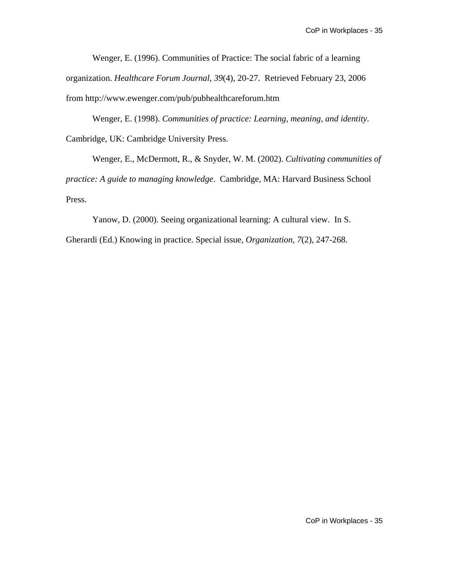Wenger, E. (1996). Communities of Practice: The social fabric of a learning organization. *Healthcare Forum Journal, 39*(4), 20-27. Retrieved February 23, 2006 from http://www.ewenger.com/pub/pubhealthcareforum.htm

Wenger, E. (1998). *Communities of practice: Learning, meaning, and identity*. Cambridge, UK: Cambridge University Press.

Wenger, E., McDermott, R., & Snyder, W. M. (2002). *Cultivating communities of practice: A guide to managing knowledge*. Cambridge, MA: Harvard Business School Press.

Yanow, D. (2000). Seeing organizational learning: A cultural view. In S. Gherardi (Ed.) Knowing in practice. Special issue, *Organization, 7*(2), 247-268.